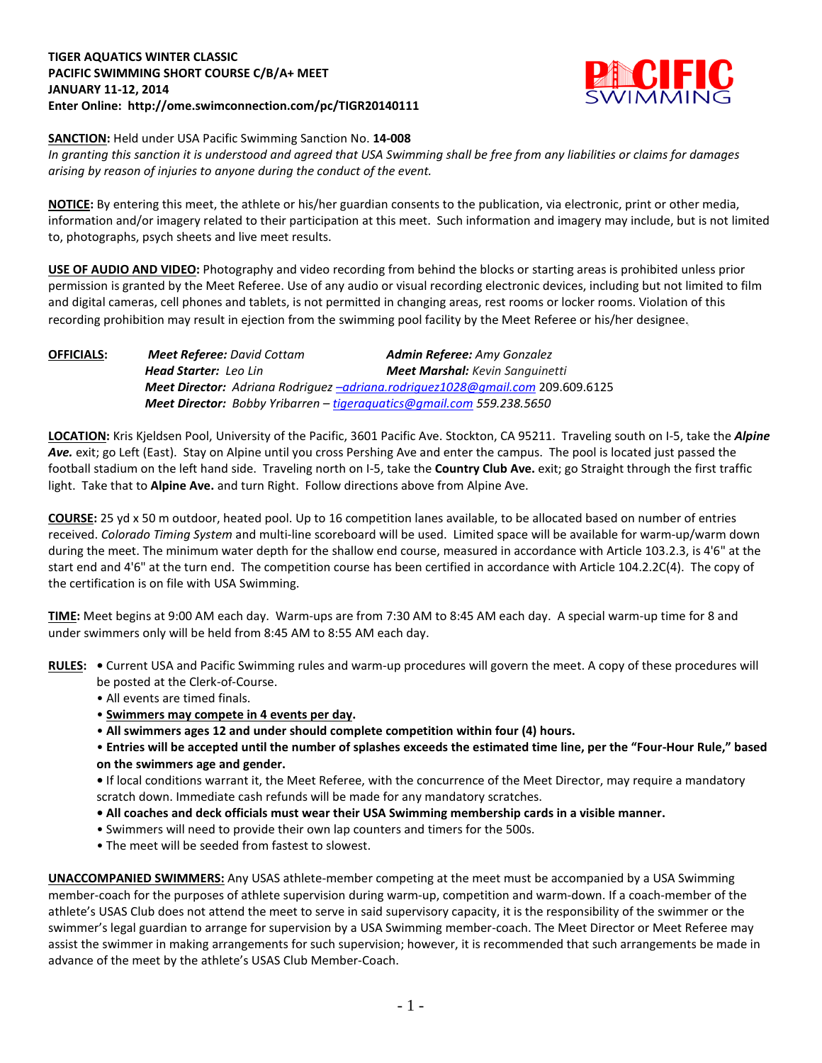## **TIGER AQUATICS WINTER CLASSIC PACIFIC SWIMMING SHORT COURSE C/B/A+ MEET JANUARY 11-12, 2014 Enter Online: http://ome.swimconnection.com/pc/TIGR20140111**



**SANCTION:** Held under USA Pacific Swimming Sanction No. **14-008**

*In granting this sanction it is understood and agreed that USA Swimming shall be free from any liabilities or claims for damages arising by reason of injuries to anyone during the conduct of the event.*

**NOTICE:** By entering this meet, the athlete or his/her guardian consents to the publication, via electronic, print or other media, information and/or imagery related to their participation at this meet. Such information and imagery may include, but is not limited to, photographs, psych sheets and live meet results.

**USE OF AUDIO AND VIDEO:** Photography and video recording from behind the blocks or starting areas is prohibited unless prior permission is granted by the Meet Referee. Use of any audio or visual recording electronic devices, including but not limited to film and digital cameras, cell phones and tablets, is not permitted in changing areas, rest rooms or locker rooms. Violation of this recording prohibition may result in ejection from the swimming pool facility by the Meet Referee or his/her designee.

**OFFICIALS:** *Meet Referee: David Cottam Admin Referee: Amy Gonzalez Head Starter: Leo Lin Meet Marshal: Kevin Sanguinetti Meet Director: Adriana Rodriguez [–adriana.rodriguez1028@gmail.com](mailto:–adriana.rodriguez1028@gmail.com)* 209.609.6125 *Meet Director: Bobby Yribarren – [tigeraquatics@gmail.com](mailto:tigeraquatics@gmail.com) 559.238.5650*

**LOCATION:** Kris Kjeldsen Pool, University of the Pacific, 3601 Pacific Ave. Stockton, CA 95211. Traveling south on I-5, take the *Alpine Ave.* exit; go Left (East). Stay on Alpine until you cross Pershing Ave and enter the campus. The pool is located just passed the football stadium on the left hand side. Traveling north on I-5, take the **Country Club Ave.** exit; go Straight through the first traffic light. Take that to **Alpine Ave.** and turn Right. Follow directions above from Alpine Ave.

**COURSE:** 25 yd x 50 m outdoor, heated pool. Up to 16 competition lanes available, to be allocated based on number of entries received. *Colorado Timing System* and multi-line scoreboard will be used. Limited space will be available for warm-up/warm down during the meet. The minimum water depth for the shallow end course, measured in accordance with Article 103.2.3, is 4'6" at the start end and 4'6" at the turn end. The competition course has been certified in accordance with Article 104.2.2C(4). The copy of the certification is on file with USA Swimming.

**TIME:** Meet begins at 9:00 AM each day. Warm-ups are from 7:30 AM to 8:45 AM each day. A special warm-up time for 8 and under swimmers only will be held from 8:45 AM to 8:55 AM each day.

- **RULES:** Current USA and Pacific Swimming rules and warm-up procedures will govern the meet. A copy of these procedures will be posted at the Clerk-of-Course.
	- All events are timed finals.
	- **Swimmers may compete in 4 events per day.**
	- **All swimmers ages 12 and under should complete competition within four (4) hours.**
	- **Entries will be accepted until the number of splashes exceeds the estimated time line, per the "Four-Hour Rule," based on the swimmers age and gender.**

**•** If local conditions warrant it, the Meet Referee, with the concurrence of the Meet Director, may require a mandatory scratch down. Immediate cash refunds will be made for any mandatory scratches.

- **All coaches and deck officials must wear their USA Swimming membership cards in a visible manner.**
- Swimmers will need to provide their own lap counters and timers for the 500s.
- The meet will be seeded from fastest to slowest.

**UNACCOMPANIED SWIMMERS:** Any USAS athlete-member competing at the meet must be accompanied by a USA Swimming member-coach for the purposes of athlete supervision during warm-up, competition and warm-down. If a coach-member of the athlete's USAS Club does not attend the meet to serve in said supervisory capacity, it is the responsibility of the swimmer or the swimmer's legal guardian to arrange for supervision by a USA Swimming member-coach. The Meet Director or Meet Referee may assist the swimmer in making arrangements for such supervision; however, it is recommended that such arrangements be made in advance of the meet by the athlete's USAS Club Member-Coach.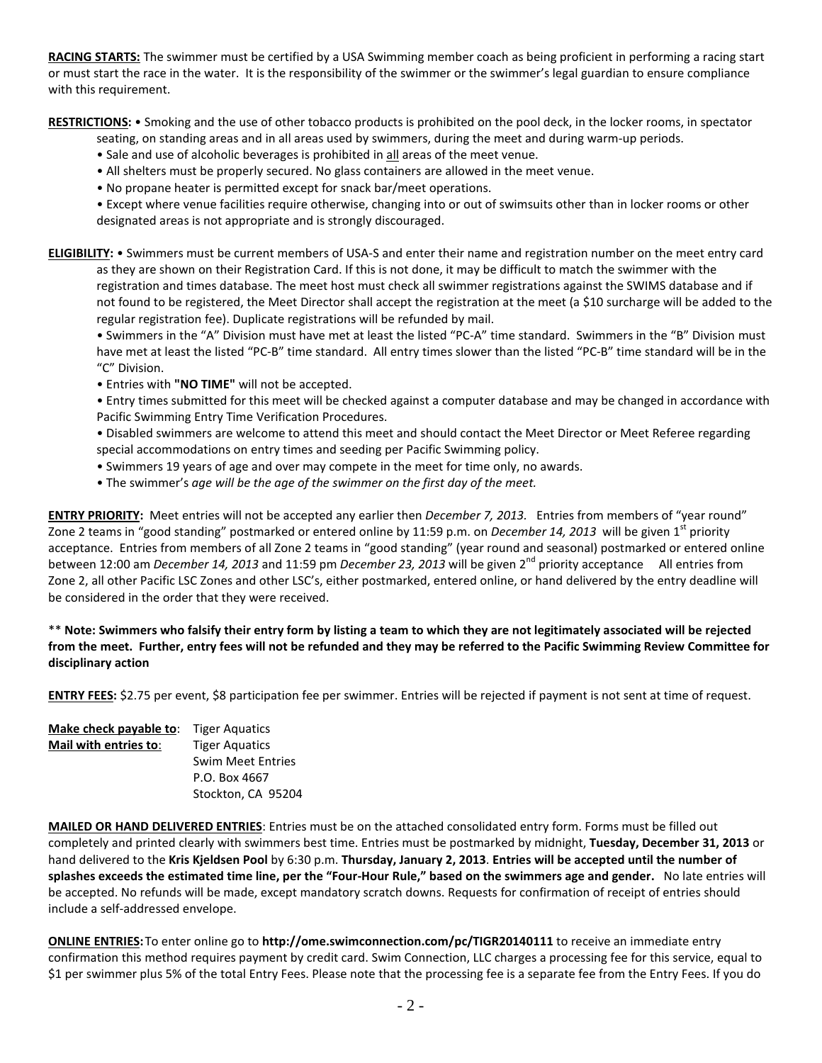**RACING STARTS:** The swimmer must be certified by a USA Swimming member coach as being proficient in performing a racing start or must start the race in the water. It is the responsibility of the swimmer or the swimmer's legal guardian to ensure compliance with this requirement.

**RESTRICTIONS:** • Smoking and the use of other tobacco products is prohibited on the pool deck, in the locker rooms, in spectator

- seating, on standing areas and in all areas used by swimmers, during the meet and during warm-up periods.
- Sale and use of alcoholic beverages is prohibited in all areas of the meet venue.
- All shelters must be properly secured. No glass containers are allowed in the meet venue.
- No propane heater is permitted except for snack bar/meet operations.
- Except where venue facilities require otherwise, changing into or out of swimsuits other than in locker rooms or other designated areas is not appropriate and is strongly discouraged.

**ELIGIBILITY:** • Swimmers must be current members of USA-S and enter their name and registration number on the meet entry card as they are shown on their Registration Card. If this is not done, it may be difficult to match the swimmer with the registration and times database. The meet host must check all swimmer registrations against the SWIMS database and if not found to be registered, the Meet Director shall accept the registration at the meet (a \$10 surcharge will be added to the regular registration fee). Duplicate registrations will be refunded by mail.

• Swimmers in the "A" Division must have met at least the listed "PC-A" time standard. Swimmers in the "B" Division must have met at least the listed "PC-B" time standard. All entry times slower than the listed "PC-B" time standard will be in the "C" Division.

• Entries with **"NO TIME"** will not be accepted.

• Entry times submitted for this meet will be checked against a computer database and may be changed in accordance with Pacific Swimming Entry Time Verification Procedures.

• Disabled swimmers are welcome to attend this meet and should contact the Meet Director or Meet Referee regarding special accommodations on entry times and seeding per Pacific Swimming policy.

- Swimmers 19 years of age and over may compete in the meet for time only, no awards.
- The swimmer's *age will be the age of the swimmer on the first day of the meet.*

**ENTRY PRIORITY:** Meet entries will not be accepted any earlier then *December 7, 2013.* Entries from members of "year round" Zone 2 teams in "good standing" postmarked or entered online by 11:59 p.m. on *December 14, 2013* will be given 1<sup>st</sup> priority acceptance. Entries from members of all Zone 2 teams in "good standing" (year round and seasonal) postmarked or entered online between 12:00 am *December 14, 2013* and 11:59 pm *December 23, 2013* will be given 2nd priority acceptance All entries from Zone 2, all other Pacific LSC Zones and other LSC's, either postmarked, entered online, or hand delivered by the entry deadline will be considered in the order that they were received.

\*\* **Note: Swimmers who falsify their entry form by listing a team to which they are not legitimately associated will be rejected from the meet. Further, entry fees will not be refunded and they may be referred to the Pacific Swimming Review Committee for disciplinary action**

**ENTRY FEES:** \$2.75 per event, \$8 participation fee per swimmer. Entries will be rejected if payment is not sent at time of request.

| Make check payable to: | <b>Tiger Aquatics</b>    |  |  |  |  |
|------------------------|--------------------------|--|--|--|--|
| Mail with entries to:  | <b>Tiger Aquatics</b>    |  |  |  |  |
|                        | <b>Swim Meet Entries</b> |  |  |  |  |
|                        | P.O. Box 4667            |  |  |  |  |
|                        | Stockton, CA 95204       |  |  |  |  |

**MAILED OR HAND DELIVERED ENTRIES**: Entries must be on the attached consolidated entry form. Forms must be filled out completely and printed clearly with swimmers best time. Entries must be postmarked by midnight, **Tuesday, December 31, 2013** or hand delivered to the **Kris Kjeldsen Pool** by 6:30 p.m. **Thursday, January 2, 2013**. **Entries will be accepted until the number of splashes exceeds the estimated time line, per the "Four-Hour Rule," based on the swimmers age and gender.** No late entries will be accepted. No refunds will be made, except mandatory scratch downs. Requests for confirmation of receipt of entries should include a self-addressed envelope.

**ONLINE ENTRIES:**To enter online go to **http://ome.swimconnection.com/pc/TIGR20140111** to receive an immediate entry confirmation this method requires payment by credit card. Swim Connection, LLC charges a processing fee for this service, equal to \$1 per swimmer plus 5% of the total Entry Fees. Please note that the processing fee is a separate fee from the Entry Fees. If you do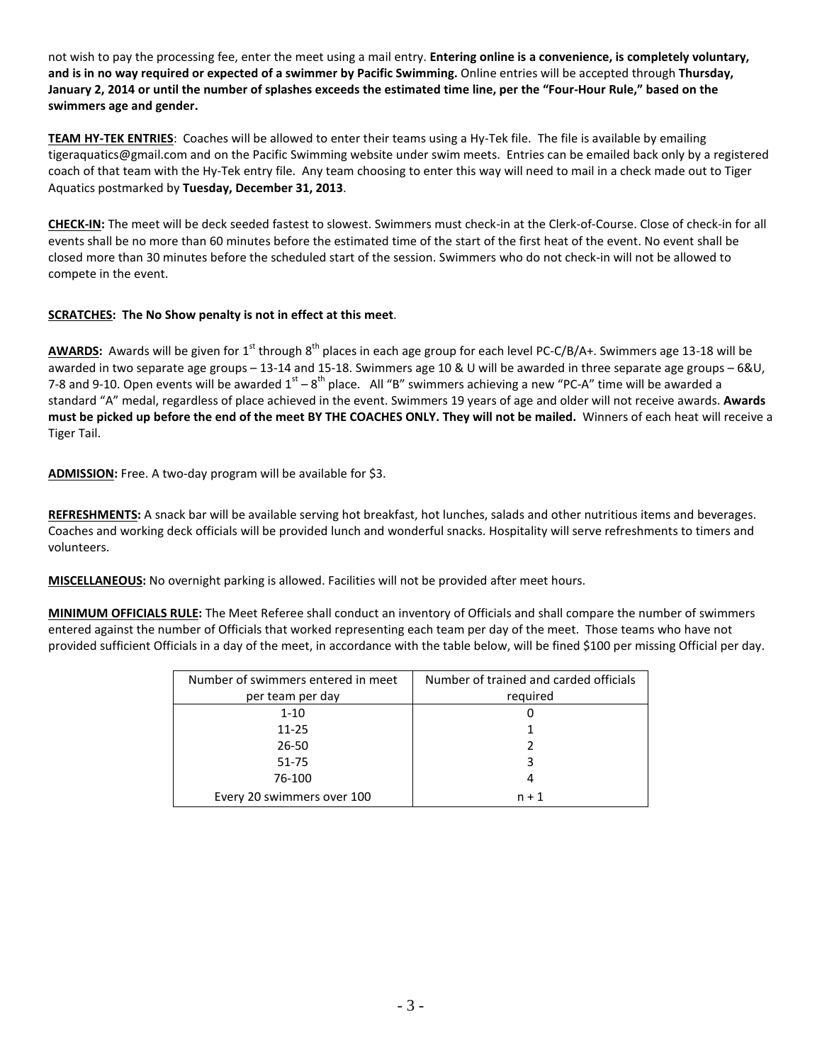not wish to pay the processing fee, enter the meet using a mail entry. **Entering online is a convenience, is completely voluntary, and is in no way required or expected of a swimmer by Pacific Swimming.** Online entries will be accepted through **Thursday, January 2, 2014 or until the number of splashes exceeds the estimated time line, per the "Four-Hour Rule," based on the swimmers age and gender.**

**TEAM HY-TEK ENTRIES**: Coaches will be allowed to enter their teams using a Hy-Tek file. The file is available by emailing [tigeraquatics@gmail.com](mailto:tigeraquatics@gmail.com) and on the Pacific Swimming website under swim meets. Entries can be emailed back only by a registered coach of that team with the Hy-Tek entry file. Any team choosing to enter this way will need to mail in a check made out to Tiger Aquatics postmarked by **Tuesday, December 31, 2013**.

**CHECK-IN:** The meet will be deck seeded fastest to slowest. Swimmers must check-in at the Clerk-of-Course. Close of check-in for all events shall be no more than 60 minutes before the estimated time of the start of the first heat of the event. No event shall be closed more than 30 minutes before the scheduled start of the session. Swimmers who do not check-in will not be allowed to compete in the event.

## **SCRATCHES: The No Show penalty is not in effect at this meet**.

AWARDS: Awards will be given for 1<sup>st</sup> through 8<sup>th</sup> places in each age group for each level PC-C/B/A+. Swimmers age 13-18 will be awarded in two separate age groups – 13-14 and 15-18. Swimmers age 10 & U will be awarded in three separate age groups – 6&U, 7-8 and 9-10. Open events will be awarded  $1<sup>st</sup> - 8<sup>th</sup>$  place. All "B" swimmers achieving a new "PC-A" time will be awarded a standard "A" medal, regardless of place achieved in the event. Swimmers 19 years of age and older will not receive awards. **Awards must be picked up before the end of the meet BY THE COACHES ONLY. They will not be mailed.** Winners of each heat will receive a Tiger Tail.

**ADMISSION:** Free. A two-day program will be available for \$3.

**REFRESHMENTS:** A snack bar will be available serving hot breakfast, hot lunches, salads and other nutritious items and beverages. Coaches and working deck officials will be provided lunch and wonderful snacks. Hospitality will serve refreshments to timers and volunteers.

**MISCELLANEOUS:** No overnight parking is allowed. Facilities will not be provided after meet hours.

**MINIMUM OFFICIALS RULE:** The Meet Referee shall conduct an inventory of Officials and shall compare the number of swimmers entered against the number of Officials that worked representing each team per day of the meet. Those teams who have not provided sufficient Officials in a day of the meet, in accordance with the table below, will be fined \$100 per missing Official per day.

| Number of swimmers entered in meet | Number of trained and carded officials |
|------------------------------------|----------------------------------------|
| per team per day                   | required                               |
| $1 - 10$                           |                                        |
| $11 - 25$                          |                                        |
| 26-50                              |                                        |
| 51-75                              |                                        |
| 76-100                             |                                        |
| Every 20 swimmers over 100         | $n + 1$                                |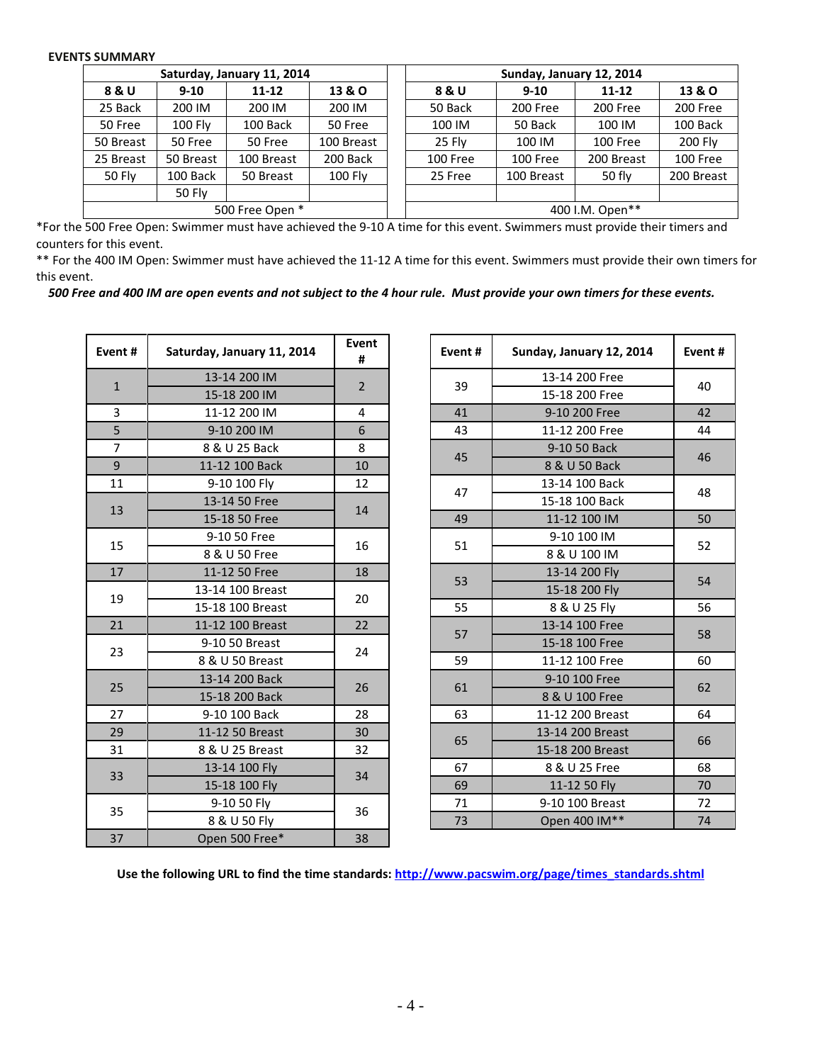## **EVENTS SUMMARY**

| Saturday, January 11, 2014 |                |            |                |  | Sunday, January 12, 2014 |            |                 |            |  |  |
|----------------------------|----------------|------------|----------------|--|--------------------------|------------|-----------------|------------|--|--|
| 8 & U                      | $9 - 10$       | $11 - 12$  | 13 & O         |  | 8 & U                    | $9 - 10$   | $11 - 12$       | 13 & O     |  |  |
| 25 Back                    | 200 IM         | 200 IM     | 200 IM         |  | 50 Back                  | 200 Free   | 200 Free        | 200 Free   |  |  |
| 50 Free                    | <b>100 Fly</b> | 100 Back   | 50 Free        |  | 100 IM                   | 50 Back    | 100 IM          | 100 Back   |  |  |
| 50 Breast                  | 50 Free        | 50 Free    | 100 Breast     |  | 25 Fly                   | 100 IM     | 100 Free        | 200 Fly    |  |  |
| 25 Breast                  | 50 Breast      | 100 Breast | 200 Back       |  | 100 Free                 | 100 Free   | 200 Breast      | 100 Free   |  |  |
| 50 Fly                     | 100 Back       | 50 Breast  | <b>100 Fly</b> |  | 25 Free                  | 100 Breast | 50 fly          | 200 Breast |  |  |
|                            | <b>50 Fly</b>  |            |                |  |                          |            |                 |            |  |  |
| 500 Free Open *            |                |            |                |  |                          |            | 400 I.M. Open** |            |  |  |

\*For the 500 Free Open: Swimmer must have achieved the 9-10 A time for this event. Swimmers must provide their timers and counters for this event.

\*\* For the 400 IM Open: Swimmer must have achieved the 11-12 A time for this event. Swimmers must provide their own timers for this event.

*500 Free and 400 IM are open events and not subject to the 4 hour rule. Must provide your own timers for these events.*

| Event#         | Saturday, January 11, 2014 | Event<br>#     | Event# | Sunday, January 12, 2014 | Even |  |  |  |  |
|----------------|----------------------------|----------------|--------|--------------------------|------|--|--|--|--|
| $\mathbf{1}$   | 13-14 200 IM               | $\overline{2}$ | 39     | 13-14 200 Free           | 40   |  |  |  |  |
|                | 15-18 200 IM               |                |        | 15-18 200 Free           |      |  |  |  |  |
| $\overline{3}$ | 11-12 200 IM               | 4              | 41     | 9-10 200 Free            | 42   |  |  |  |  |
| 5              | 9-10 200 IM                | 6              | 43     | 11-12 200 Free           | 44   |  |  |  |  |
| $\overline{7}$ | 8 & U 25 Back              | 8              | 45     | 9-10 50 Back             | 46   |  |  |  |  |
| $9$            | 11-12 100 Back             | 10             |        | 8 & U 50 Back            |      |  |  |  |  |
| 11             | 9-10 100 Fly               | 12             | 47     | 13-14 100 Back           | 48   |  |  |  |  |
| 13             | 13-14 50 Free              | 14             |        | 15-18 100 Back           |      |  |  |  |  |
|                | 15-18 50 Free              |                | 49     | 11-12 100 IM             | 50   |  |  |  |  |
|                | 9-10 50 Free               | 16             | 51     | 9-10 100 IM              | 52   |  |  |  |  |
| 15             | 8 & U 50 Free              |                |        | 8 & U 100 IM             |      |  |  |  |  |
| 17             | 11-12 50 Free              | 18             | 53     | 13-14 200 Fly            | 54   |  |  |  |  |
| 19             | 13-14 100 Breast           | 20             |        | 15-18 200 Fly            |      |  |  |  |  |
|                | 15-18 100 Breast           |                | 55     | 8 & U 25 Fly             | 56   |  |  |  |  |
| 21             | 11-12 100 Breast           | 22             | 57     | 13-14 100 Free           | 58   |  |  |  |  |
| 23             | 9-10 50 Breast             | 24             |        | 15-18 100 Free           |      |  |  |  |  |
|                | 8 & U 50 Breast            |                | 59     | 11-12 100 Free           | 60   |  |  |  |  |
| 25             | 13-14 200 Back             | 26             | 61     | 9-10 100 Free            |      |  |  |  |  |
|                | 15-18 200 Back             |                |        | 8 & U 100 Free           | 62   |  |  |  |  |
| 27             | 9-10 100 Back              | 28             | 63     | 11-12 200 Breast         | 64   |  |  |  |  |
| 29             | 11-12 50 Breast            | 30             |        | 13-14 200 Breast         |      |  |  |  |  |
| 31             | 8 & U 25 Breast            | 32             | 65     | 15-18 200 Breast         | 66   |  |  |  |  |
| 33             | 13-14 100 Fly              | 34             | 67     | 8 & U 25 Free            | 68   |  |  |  |  |
|                | 15-18 100 Fly              |                | 69     | 11-12 50 Fly             | 70   |  |  |  |  |
| 35             | 9-10 50 Fly                | 36             | 71     | 9-10 100 Breast          | 72   |  |  |  |  |
|                | 8 & U 50 Fly               |                | 73     | Open 400 IM**            | 74   |  |  |  |  |
| 37             | Open 500 Free*             | 38             |        |                          |      |  |  |  |  |

| nt #                        | Saturday, January 11, 2014 | Event<br>#                       |    | Event#        | Sunday, January 12, 2014 | Event# |  |  |  |
|-----------------------------|----------------------------|----------------------------------|----|---------------|--------------------------|--------|--|--|--|
| $\mathbf{1}$                | 13-14 200 IM               | $\overline{2}$                   |    | 39            | 13-14 200 Free           | 40     |  |  |  |
|                             | 15-18 200 IM               |                                  |    |               | 15-18 200 Free           |        |  |  |  |
|                             | 11-12 200 IM               | 4                                |    | 41            | 9-10 200 Free            | 42     |  |  |  |
|                             | 9-10 200 IM                | 6                                |    | 43            | 11-12 200 Free           | 44     |  |  |  |
| $\frac{3}{5}$ $\frac{7}{9}$ | 8 & U 25 Back              | 8                                |    | 45            | 9-10 50 Back             | 46     |  |  |  |
|                             | 11-12 100 Back             | 10                               |    |               | 8 & U 50 Back            |        |  |  |  |
| $\overline{11}$             | 9-10 100 Fly               | 12                               |    | 47            | 13-14 100 Back           | 48     |  |  |  |
| L3                          | 13-14 50 Free              |                                  |    |               | 15-18 100 Back           |        |  |  |  |
|                             | 15-18 50 Free              |                                  |    | 49            | 11-12 100 IM             | 50     |  |  |  |
| L5                          | 9-10 50 Free               |                                  |    | 51            | 9-10 100 IM              | 52     |  |  |  |
|                             | 8 & U 50 Free              |                                  |    |               | 8 & U 100 IM             |        |  |  |  |
| $\overline{17}$             | 11-12 50 Free              | 18                               | 53 |               | 13-14 200 Fly            | 54     |  |  |  |
| L9                          | 13-14 100 Breast           |                                  |    |               | 15-18 200 Fly            |        |  |  |  |
|                             | 15-18 100 Breast           |                                  |    | 55            | 8 & U 25 Fly             | 56     |  |  |  |
| 21                          | 11-12 100 Breast           | 22                               |    | 57            | 13-14 100 Free           | 58     |  |  |  |
| 23                          | 9-10 50 Breast             |                                  |    |               | 15-18 100 Free           |        |  |  |  |
|                             | 8 & U 50 Breast            |                                  |    | 59            | 11-12 100 Free           | 60     |  |  |  |
| 25                          | 13-14 200 Back             |                                  |    | 61            | 9-10 100 Free            |        |  |  |  |
|                             | 15-18 200 Back             |                                  |    |               | 8 & U 100 Free           | 62     |  |  |  |
| 27                          | 9-10 100 Back              | 28                               |    | 63            | 11-12 200 Breast         | 64     |  |  |  |
| 29                          | 11-12 50 Breast            | 30                               |    |               | 13-14 200 Breast         |        |  |  |  |
| $^{31}$                     | 8 & U 25 Breast            | 32                               |    | 65            | 15-18 200 Breast         | 66     |  |  |  |
| 33 <sup>2</sup>             | 13-14 100 Fly              | 14<br>16<br>20<br>24<br>26<br>34 | 67 | 8 & U 25 Free | 68                       |        |  |  |  |
|                             | 15-18 100 Fly              |                                  |    | 69            | 11-12 50 Fly             | 70     |  |  |  |
| 35                          | 9-10 50 Fly                | 36                               |    | 71            | 9-10 100 Breast          | 72     |  |  |  |
|                             | 8 & U 50 Fly               |                                  |    | 73            | Open 400 IM**            | 74     |  |  |  |

**Use the following URL to find the time standards: [http://www.pacswim.org/page/times\\_standards.shtml](http://www.pacswim.org/page/times_standards.shtml)**